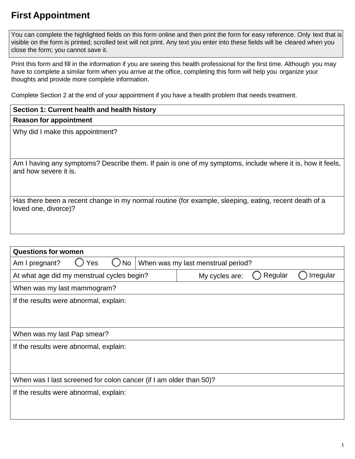# **First Appointment**

 You can complete the highlighted fields on this form online and then print the form for easy reference. Only text that is visible on the form is printed; scrolled text will not print. Any text you enter into these fields will be cleared when you close the form; you cannot save it.

 Print this form and fill in the information if you are seeing this health professional for the first time. Although you may have to complete a similar form when you arrive at the office, completing this form will help you organize your thoughts and provide more complete information.

Complete Section 2 at the end of your appointment if you have a health problem that needs treatment.

| Section 1: Current health and health history                                                                                        |
|-------------------------------------------------------------------------------------------------------------------------------------|
| <b>Reason for appointment</b>                                                                                                       |
| Why did I make this appointment?                                                                                                    |
|                                                                                                                                     |
|                                                                                                                                     |
| Am I having any symptoms? Describe them. If pain is one of my symptoms, include where it is, how it feels,<br>and how severe it is. |
|                                                                                                                                     |
| Has there been a recent change in my normal routine (for example, sleeping, eating, recent death of a<br>loved one, divorce)?       |
|                                                                                                                                     |

| <b>Questions for women</b>                                         |                                        |  |  |                |         |           |  |
|--------------------------------------------------------------------|----------------------------------------|--|--|----------------|---------|-----------|--|
| Yes<br>No<br>When was my last menstrual period?<br>Am I pregnant?  |                                        |  |  |                |         |           |  |
| At what age did my menstrual cycles begin?                         |                                        |  |  | My cycles are: | Regular | Irregular |  |
| When was my last mammogram?                                        |                                        |  |  |                |         |           |  |
| If the results were abnormal, explain:                             |                                        |  |  |                |         |           |  |
|                                                                    |                                        |  |  |                |         |           |  |
|                                                                    |                                        |  |  |                |         |           |  |
| When was my last Pap smear?                                        |                                        |  |  |                |         |           |  |
|                                                                    | If the results were abnormal, explain: |  |  |                |         |           |  |
|                                                                    |                                        |  |  |                |         |           |  |
|                                                                    |                                        |  |  |                |         |           |  |
| When was I last screened for colon cancer (if I am older than 50)? |                                        |  |  |                |         |           |  |
| If the results were abnormal, explain:                             |                                        |  |  |                |         |           |  |
|                                                                    |                                        |  |  |                |         |           |  |
|                                                                    |                                        |  |  |                |         |           |  |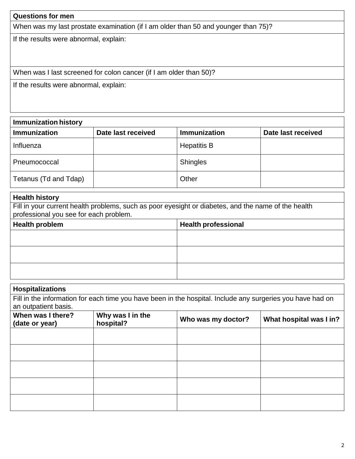### **Questions for men**

When was my last prostate examination (if I am older than 50 and younger than 75)?

If the results were abnormal, explain:

When was I last screened for colon cancer (if I am older than 50)?

If the results were abnormal, explain:

| <b>Immunization history</b> |                    |                     |                    |  |  |  |
|-----------------------------|--------------------|---------------------|--------------------|--|--|--|
| Immunization                | Date last received | <b>Immunization</b> | Date last received |  |  |  |
| Influenza                   |                    | <b>Hepatitis B</b>  |                    |  |  |  |
| Pneumococcal                |                    | <b>Shingles</b>     |                    |  |  |  |
| Tetanus (Td and Tdap)       |                    | Other               |                    |  |  |  |

#### **Health history**

Fill in your current health problems, such as poor eyesight or diabetes, and the name of the health professional you see for each problem.

| <b>Health problem</b> | Health professional |
|-----------------------|---------------------|
|                       |                     |
|                       |                     |
|                       |                     |
|                       |                     |
|                       |                     |
|                       |                     |

| <b>Hospitalizations</b>                                                                                                            |  |  |  |  |  |  |
|------------------------------------------------------------------------------------------------------------------------------------|--|--|--|--|--|--|
| Fill in the information for each time you have been in the hospital. Include any surgeries you have had on<br>an outpatient basis. |  |  |  |  |  |  |
| When was I there?<br>Why was I in the<br>Who was my doctor?<br>What hospital was I in?<br>hospital?<br>(date or year)              |  |  |  |  |  |  |
|                                                                                                                                    |  |  |  |  |  |  |
|                                                                                                                                    |  |  |  |  |  |  |
|                                                                                                                                    |  |  |  |  |  |  |
|                                                                                                                                    |  |  |  |  |  |  |
|                                                                                                                                    |  |  |  |  |  |  |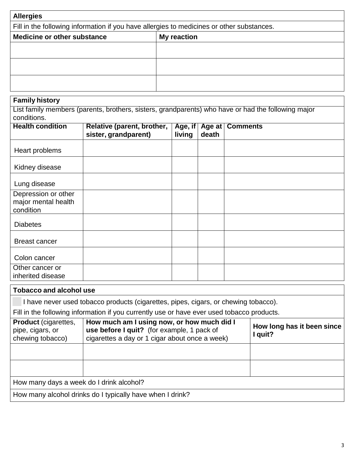| <b>Allergies</b>                                                                          |  |  |  |
|-------------------------------------------------------------------------------------------|--|--|--|
| Fill in the following information if you have allergies to medicines or other substances. |  |  |  |
| Medicine or other substance<br><b>My reaction</b>                                         |  |  |  |
|                                                                                           |  |  |  |
|                                                                                           |  |  |  |
|                                                                                           |  |  |  |
|                                                                                           |  |  |  |
|                                                                                           |  |  |  |
|                                                                                           |  |  |  |

## **Family history**

List family members (parents, brothers, sisters, grandparents) who have or had the following major conditions.

| <b>Health condition</b>                                 | Relative (parent, brother,<br>sister, grandparent) | Age, if<br>living | Age at<br>death | <b>Comments</b> |
|---------------------------------------------------------|----------------------------------------------------|-------------------|-----------------|-----------------|
| Heart problems                                          |                                                    |                   |                 |                 |
| Kidney disease                                          |                                                    |                   |                 |                 |
| Lung disease                                            |                                                    |                   |                 |                 |
| Depression or other<br>major mental health<br>condition |                                                    |                   |                 |                 |
| <b>Diabetes</b>                                         |                                                    |                   |                 |                 |
| <b>Breast cancer</b>                                    |                                                    |                   |                 |                 |
| Colon cancer                                            |                                                    |                   |                 |                 |
| Other cancer or<br>inherited disease                    |                                                    |                   |                 |                 |

#### **Tobacco and alcohol use**

I have never used tobacco products (cigarettes, pipes, cigars, or chewing tobacco).

Fill in the following information if you currently use or have ever used tobacco products.

| <b>Product</b> (cigarettes,<br>pipe, cigars, or<br>chewing tobacco) | How much am I using now, or how much did I<br>use before I quit? (for example, 1 pack of<br>cigarettes a day or 1 cigar about once a week) | How long has it been since<br>I quit? |  |  |  |
|---------------------------------------------------------------------|--------------------------------------------------------------------------------------------------------------------------------------------|---------------------------------------|--|--|--|
|                                                                     |                                                                                                                                            |                                       |  |  |  |
|                                                                     |                                                                                                                                            |                                       |  |  |  |
| How many days a week do I drink alcohol?                            |                                                                                                                                            |                                       |  |  |  |
| How many alcohol drinks do I typically have when I drink?           |                                                                                                                                            |                                       |  |  |  |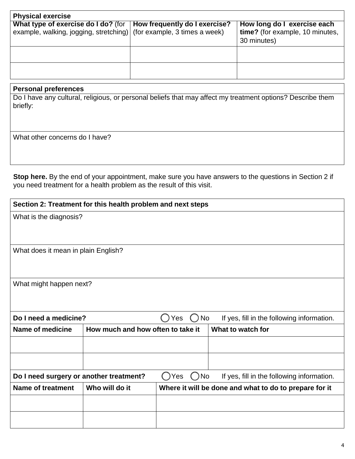| <b>Physical exercise</b>                                                                                                                    |                                                                               |
|---------------------------------------------------------------------------------------------------------------------------------------------|-------------------------------------------------------------------------------|
| What type of exercise do I do? (for   How frequently do I exercise?<br>example, walking, jogging, stretching) (for example, 3 times a week) | How long do I exercise each<br>time? (for example, 10 minutes,<br>30 minutes) |
|                                                                                                                                             |                                                                               |
|                                                                                                                                             |                                                                               |

#### **Personal preferences**

Do I have any cultural, religious, or personal beliefs that may affect my treatment options? Describe them briefly:

What other concerns do I have?

 **Stop here.** By the end of your appointment, make sure you have answers to the questions in Section 2 if you need treatment for a health problem as the result of this visit.

|                                            | Section 2: Treatment for this health problem and next steps |                                                               |                                            |
|--------------------------------------------|-------------------------------------------------------------|---------------------------------------------------------------|--------------------------------------------|
| What is the diagnosis?                     |                                                             |                                                               |                                            |
| What does it mean in plain English?        |                                                             |                                                               |                                            |
| What might happen next?                    |                                                             |                                                               |                                            |
| Do I need a medicine?                      |                                                             | ( ) No<br>Yes                                                 | If yes, fill in the following information. |
| Name of medicine                           | How much and how often to take it                           |                                                               | What to watch for                          |
|                                            |                                                             |                                                               |                                            |
|                                            |                                                             |                                                               |                                            |
| Do I need surgery or another treatment?    |                                                             | ( )Yes<br>No<br>$\left( \begin{array}{c} \end{array} \right)$ | If yes, fill in the following information. |
| <b>Name of treatment</b><br>Who will do it |                                                             | Where it will be done and what to do to prepare for it        |                                            |
|                                            |                                                             |                                                               |                                            |
|                                            |                                                             |                                                               |                                            |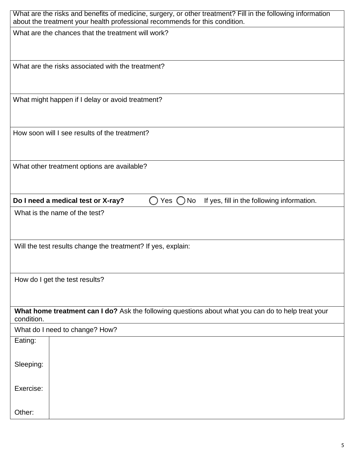| What are the risks and benefits of medicine, surgery, or other treatment? Fill in the following information<br>about the treatment your health professional recommends for this condition. |
|--------------------------------------------------------------------------------------------------------------------------------------------------------------------------------------------|
| What are the chances that the treatment will work?                                                                                                                                         |
| What are the risks associated with the treatment?                                                                                                                                          |
| What might happen if I delay or avoid treatment?                                                                                                                                           |
| How soon will I see results of the treatment?                                                                                                                                              |
| What other treatment options are available?                                                                                                                                                |
| Do I need a medical test or X-ray?<br>Yes $\bigcup$<br>No<br>If yes, fill in the following information.                                                                                    |
| What is the name of the test?                                                                                                                                                              |
| Will the test results change the treatment? If yes, explain:                                                                                                                               |
| How do I get the test results?                                                                                                                                                             |
| What home treatment can I do? Ask the following questions about what you can do to help treat your<br>condition.                                                                           |
| What do I need to change? How?                                                                                                                                                             |
| Eating:                                                                                                                                                                                    |
| Sleeping:                                                                                                                                                                                  |
| Exercise:                                                                                                                                                                                  |
| Other:                                                                                                                                                                                     |